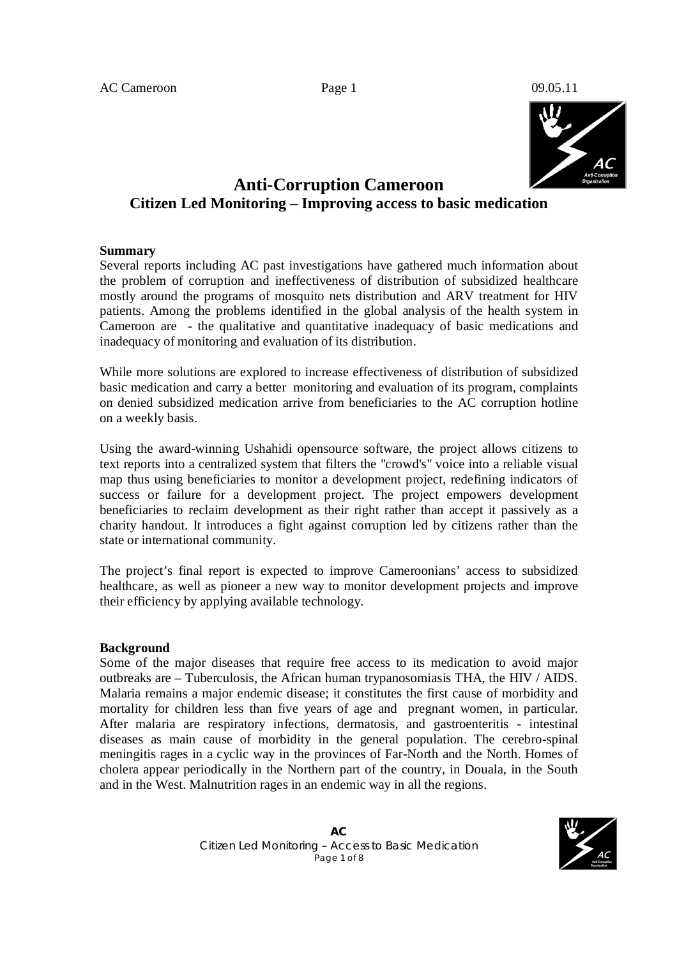

# **Anti-Corruption Cameroon Citizen Led Monitoring – Improving access to basic medication**

### **Summary**

Several reports including AC past investigations have gathered much information about the problem of corruption and ineffectiveness of distribution of subsidized healthcare mostly around the programs of mosquito nets distribution and ARV treatment for HIV patients. Among the problems identified in the global analysis of the health system in Cameroon are - the qualitative and quantitative inadequacy of basic medications and inadequacy of monitoring and evaluation of its distribution.

While more solutions are explored to increase effectiveness of distribution of subsidized basic medication and carry a better monitoring and evaluation of its program, complaints on denied subsidized medication arrive from beneficiaries to the AC corruption hotline on a weekly basis.

Using the award-winning Ushahidi opensource software, the project allows citizens to text reports into a centralized system that filters the "crowd's" voice into a reliable visual map thus using beneficiaries to monitor a development project, redefining indicators of success or failure for a development project. The project empowers development beneficiaries to reclaim development as their right rather than accept it passively as a charity handout. It introduces a fight against corruption led by citizens rather than the state or international community.

The project's final report is expected to improve Cameroonians' access to subsidized healthcare, as well as pioneer a new way to monitor development projects and improve their efficiency by applying available technology.

#### **Background**

Some of the major diseases that require free access to its medication to avoid major outbreaks are – Tuberculosis, the African human trypanosomiasis THA, the HIV / AIDS. Malaria remains a major endemic disease; it constitutes the first cause of morbidity and mortality for children less than five years of age and pregnant women, in particular. After malaria are respiratory infections, dermatosis, and gastroenteritis - intestinal diseases as main cause of morbidity in the general population. The cerebro-spinal meningitis rages in a cyclic way in the provinces of Far-North and the North. Homes of cholera appear periodically in the Northern part of the country, in Douala, in the South and in the West. Malnutrition rages in an endemic way in all the regions.

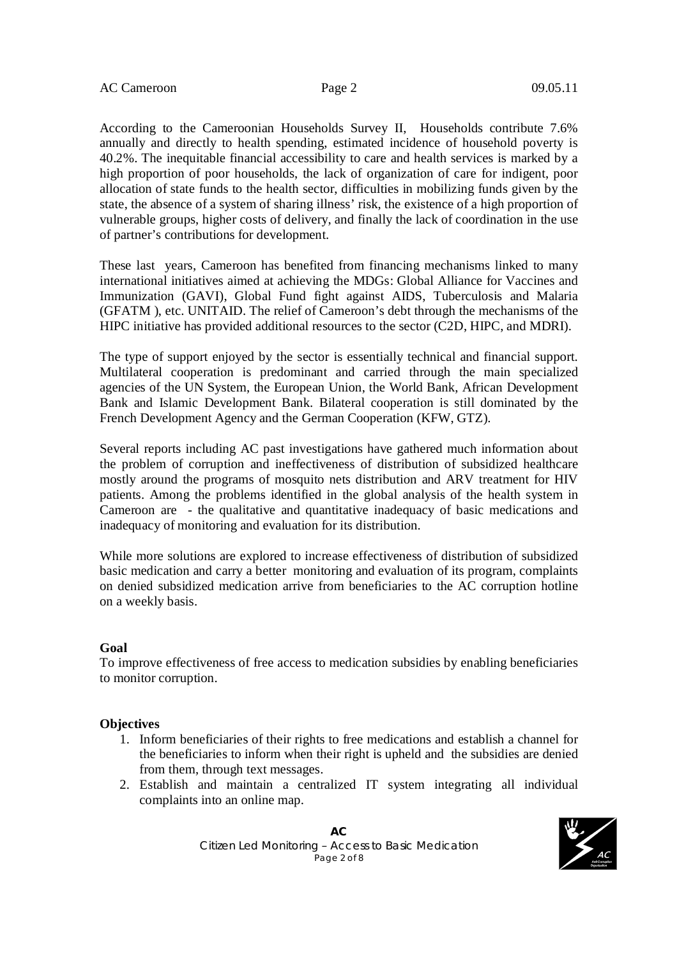According to the Cameroonian Households Survey II, Households contribute 7.6% annually and directly to health spending, estimated incidence of household poverty is 40.2%. The inequitable financial accessibility to care and health services is marked by a high proportion of poor households, the lack of organization of care for indigent, poor allocation of state funds to the health sector, difficulties in mobilizing funds given by the state, the absence of a system of sharing illness' risk, the existence of a high proportion of vulnerable groups, higher costs of delivery, and finally the lack of coordination in the use of partner's contributions for development.

These last years, Cameroon has benefited from financing mechanisms linked to many international initiatives aimed at achieving the MDGs: Global Alliance for Vaccines and Immunization (GAVI), Global Fund fight against AIDS, Tuberculosis and Malaria (GFATM ), etc. UNITAID. The relief of Cameroon's debt through the mechanisms of the HIPC initiative has provided additional resources to the sector (C2D, HIPC, and MDRI).

The type of support enjoyed by the sector is essentially technical and financial support. Multilateral cooperation is predominant and carried through the main specialized agencies of the UN System, the European Union, the World Bank, African Development Bank and Islamic Development Bank. Bilateral cooperation is still dominated by the French Development Agency and the German Cooperation (KFW, GTZ).

Several reports including AC past investigations have gathered much information about the problem of corruption and ineffectiveness of distribution of subsidized healthcare mostly around the programs of mosquito nets distribution and ARV treatment for HIV patients. Among the problems identified in the global analysis of the health system in Cameroon are - the qualitative and quantitative inadequacy of basic medications and inadequacy of monitoring and evaluation for its distribution.

While more solutions are explored to increase effectiveness of distribution of subsidized basic medication and carry a better monitoring and evaluation of its program, complaints on denied subsidized medication arrive from beneficiaries to the AC corruption hotline on a weekly basis.

#### **Goal**

To improve effectiveness of free access to medication subsidies by enabling beneficiaries to monitor corruption.

#### **Objectives**

- 1. Inform beneficiaries of their rights to free medications and establish a channel for the beneficiaries to inform when their right is upheld and the subsidies are denied from them, through text messages.
- 2. Establish and maintain a centralized IT system integrating all individual complaints into an online map.

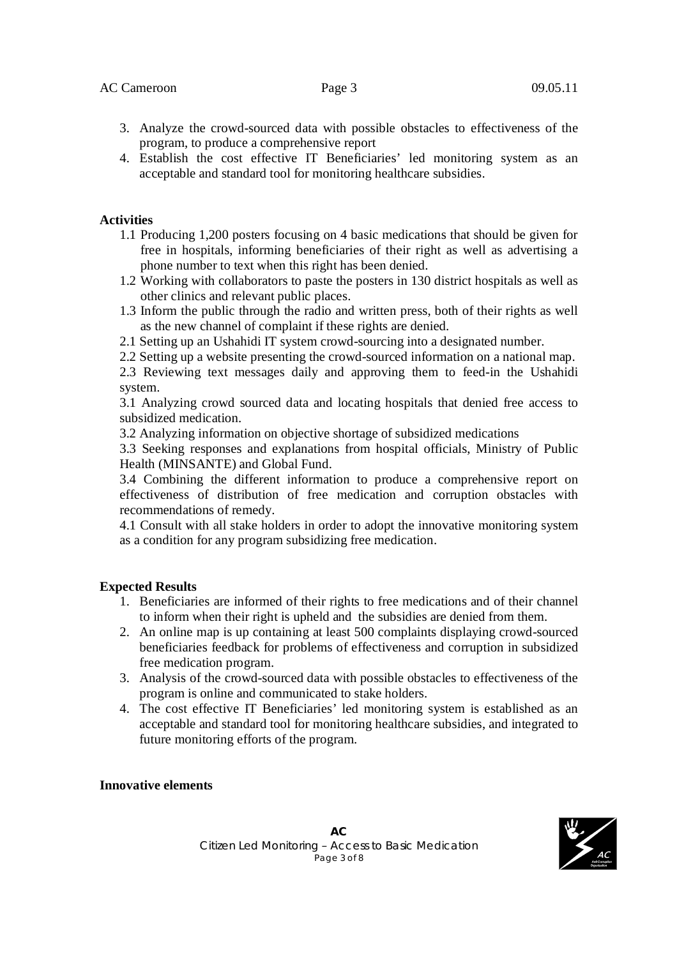### AC Cameroon Page 3 09.05.11

- 3. Analyze the crowd-sourced data with possible obstacles to effectiveness of the program, to produce a comprehensive report
- 4. Establish the cost effective IT Beneficiaries' led monitoring system as an acceptable and standard tool for monitoring healthcare subsidies.

#### **Activities**

- 1.1 Producing 1,200 posters focusing on 4 basic medications that should be given for free in hospitals, informing beneficiaries of their right as well as advertising a phone number to text when this right has been denied.
- 1.2 Working with collaborators to paste the posters in 130 district hospitals as well as other clinics and relevant public places.
- 1.3 Inform the public through the radio and written press, both of their rights as well as the new channel of complaint if these rights are denied.
- 2.1 Setting up an Ushahidi IT system crowd-sourcing into a designated number.
- 2.2 Setting up a website presenting the crowd-sourced information on a national map.

2.3 Reviewing text messages daily and approving them to feed-in the Ushahidi system.

3.1 Analyzing crowd sourced data and locating hospitals that denied free access to subsidized medication.

3.2 Analyzing information on objective shortage of subsidized medications

3.3 Seeking responses and explanations from hospital officials, Ministry of Public Health (MINSANTE) and Global Fund.

3.4 Combining the different information to produce a comprehensive report on effectiveness of distribution of free medication and corruption obstacles with recommendations of remedy.

4.1 Consult with all stake holders in order to adopt the innovative monitoring system as a condition for any program subsidizing free medication.

#### **Expected Results**

- 1. Beneficiaries are informed of their rights to free medications and of their channel to inform when their right is upheld and the subsidies are denied from them.
- 2. An online map is up containing at least 500 complaints displaying crowd-sourced beneficiaries feedback for problems of effectiveness and corruption in subsidized free medication program.
- 3. Analysis of the crowd-sourced data with possible obstacles to effectiveness of the program is online and communicated to stake holders.
- 4. The cost effective IT Beneficiaries' led monitoring system is established as an acceptable and standard tool for monitoring healthcare subsidies, and integrated to future monitoring efforts of the program.

#### **Innovative elements**

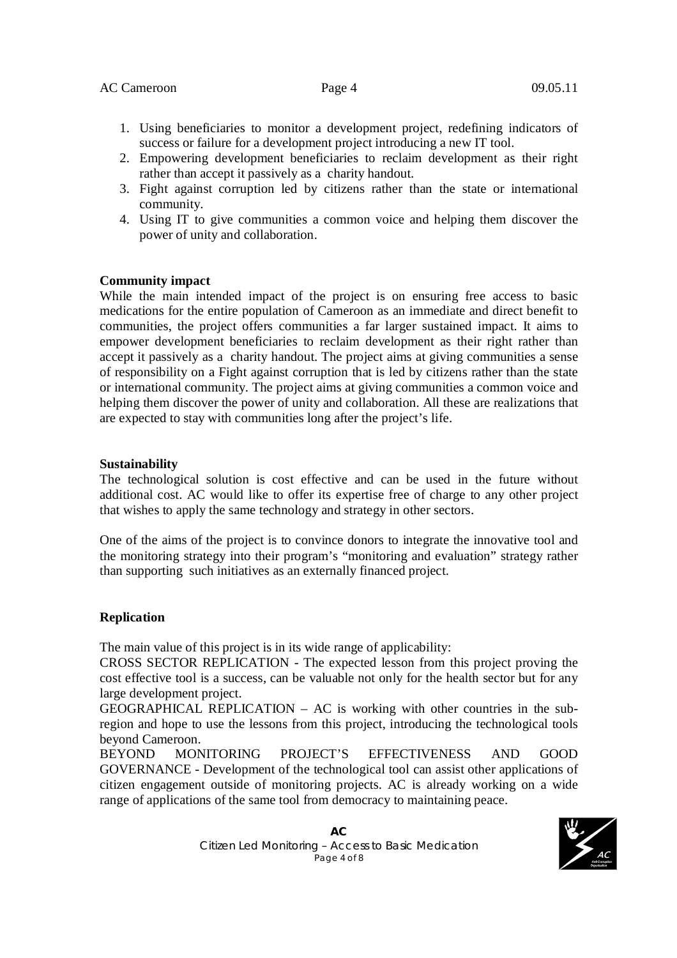#### AC Cameroon Page 4 09.05.11

- 1. Using beneficiaries to monitor a development project, redefining indicators of success or failure for a development project introducing a new IT tool.
- 2. Empowering development beneficiaries to reclaim development as their right rather than accept it passively as a charity handout.
- 3. Fight against corruption led by citizens rather than the state or international community.
- 4. Using IT to give communities a common voice and helping them discover the power of unity and collaboration.

#### **Community impact**

While the main intended impact of the project is on ensuring free access to basic medications for the entire population of Cameroon as an immediate and direct benefit to communities, the project offers communities a far larger sustained impact. It aims to empower development beneficiaries to reclaim development as their right rather than accept it passively as a charity handout. The project aims at giving communities a sense of responsibility on a Fight against corruption that is led by citizens rather than the state or international community. The project aims at giving communities a common voice and helping them discover the power of unity and collaboration. All these are realizations that are expected to stay with communities long after the project's life.

#### **Sustainability**

The technological solution is cost effective and can be used in the future without additional cost. AC would like to offer its expertise free of charge to any other project that wishes to apply the same technology and strategy in other sectors.

One of the aims of the project is to convince donors to integrate the innovative tool and the monitoring strategy into their program's "monitoring and evaluation" strategy rather than supporting such initiatives as an externally financed project.

## **Replication**

The main value of this project is in its wide range of applicability:

CROSS SECTOR REPLICATION - The expected lesson from this project proving the cost effective tool is a success, can be valuable not only for the health sector but for any large development project.

GEOGRAPHICAL REPLICATION – AC is working with other countries in the subregion and hope to use the lessons from this project, introducing the technological tools beyond Cameroon.

BEYOND MONITORING PROJECT'S EFFECTIVENESS AND GOOD GOVERNANCE - Development of the technological tool can assist other applications of citizen engagement outside of monitoring projects. AC is already working on a wide range of applications of the same tool from democracy to maintaining peace.

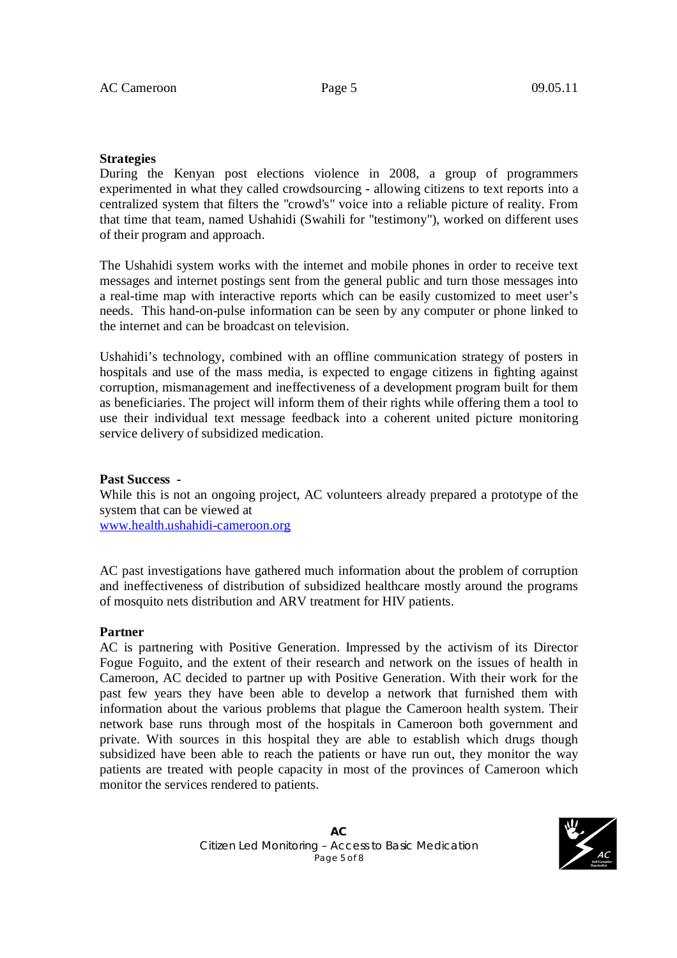#### **Strategies**

During the Kenyan post elections violence in 2008, a group of programmers experimented in what they called crowdsourcing - allowing citizens to text reports into a centralized system that filters the "crowd's" voice into a reliable picture of reality. From that time that team, named Ushahidi (Swahili for "testimony"), worked on different uses of their program and approach.

The Ushahidi system works with the internet and mobile phones in order to receive text messages and internet postings sent from the general public and turn those messages into a real-time map with interactive reports which can be easily customized to meet user's needs. This hand-on-pulse information can be seen by any computer or phone linked to the internet and can be broadcast on television.

Ushahidi's technology, combined with an offline communication strategy of posters in hospitals and use of the mass media, is expected to engage citizens in fighting against corruption, mismanagement and ineffectiveness of a development program built for them as beneficiaries. The project will inform them of their rights while offering them a tool to use their individual text message feedback into a coherent united picture monitoring service delivery of subsidized medication.

#### **Past Success -**

While this is not an ongoing project, AC volunteers already prepared a prototype of the system that can be viewed at

www.health.ushahidi-cameroon.org

AC past investigations have gathered much information about the problem of corruption and ineffectiveness of distribution of subsidized healthcare mostly around the programs of mosquito nets distribution and ARV treatment for HIV patients.

#### **Partner**

AC is partnering with Positive Generation. Impressed by the activism of its Director Fogue Foguito, and the extent of their research and network on the issues of health in Cameroon, AC decided to partner up with Positive Generation. With their work for the past few years they have been able to develop a network that furnished them with information about the various problems that plague the Cameroon health system. Their network base runs through most of the hospitals in Cameroon both government and private. With sources in this hospital they are able to establish which drugs though subsidized have been able to reach the patients or have run out, they monitor the way patients are treated with people capacity in most of the provinces of Cameroon which monitor the services rendered to patients.

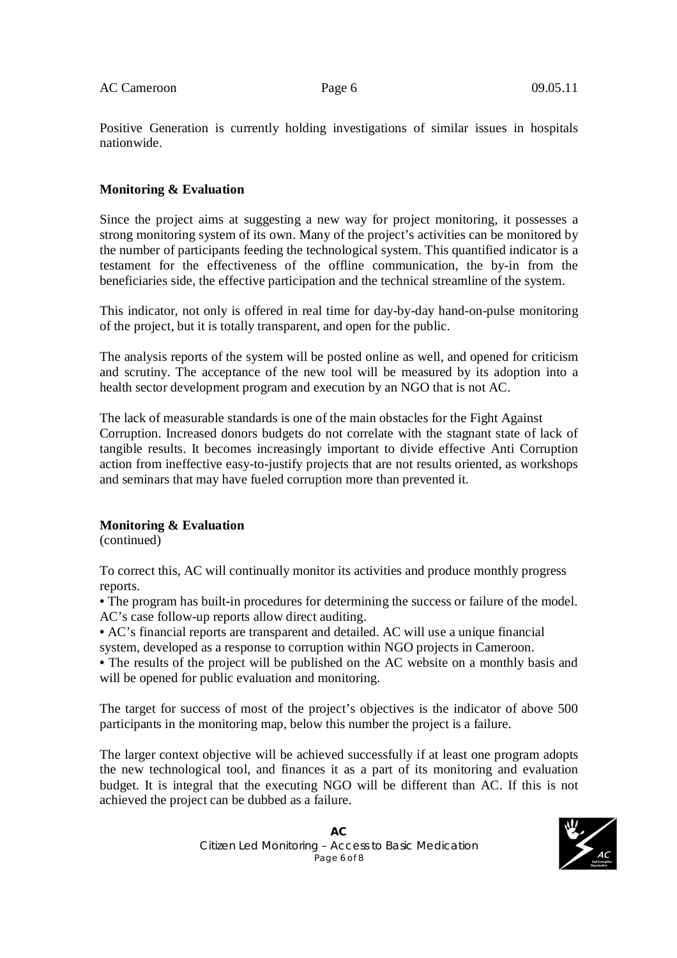Positive Generation is currently holding investigations of similar issues in hospitals nationwide.

## **Monitoring & Evaluation**

Since the project aims at suggesting a new way for project monitoring, it possesses a strong monitoring system of its own. Many of the project's activities can be monitored by the number of participants feeding the technological system. This quantified indicator is a testament for the effectiveness of the offline communication, the by-in from the beneficiaries side, the effective participation and the technical streamline of the system.

This indicator, not only is offered in real time for day-by-day hand-on-pulse monitoring of the project, but it is totally transparent, and open for the public.

The analysis reports of the system will be posted online as well, and opened for criticism and scrutiny. The acceptance of the new tool will be measured by its adoption into a health sector development program and execution by an NGO that is not AC.

The lack of measurable standards is one of the main obstacles for the Fight Against Corruption. Increased donors budgets do not correlate with the stagnant state of lack of tangible results. It becomes increasingly important to divide effective Anti Corruption action from ineffective easy-to-justify projects that are not results oriented, as workshops and seminars that may have fueled corruption more than prevented it.

## **Monitoring & Evaluation**

(continued)

To correct this, AC will continually monitor its activities and produce monthly progress reports.

• The program has built-in procedures for determining the success or failure of the model. AC's case follow-up reports allow direct auditing.

• AC's financial reports are transparent and detailed. AC will use a unique financial system, developed as a response to corruption within NGO projects in Cameroon.

• The results of the project will be published on the AC website on a monthly basis and will be opened for public evaluation and monitoring.

The target for success of most of the project's objectives is the indicator of above 500 participants in the monitoring map, below this number the project is a failure.

The larger context objective will be achieved successfully if at least one program adopts the new technological tool, and finances it as a part of its monitoring and evaluation budget. It is integral that the executing NGO will be different than AC. If this is not achieved the project can be dubbed as a failure.

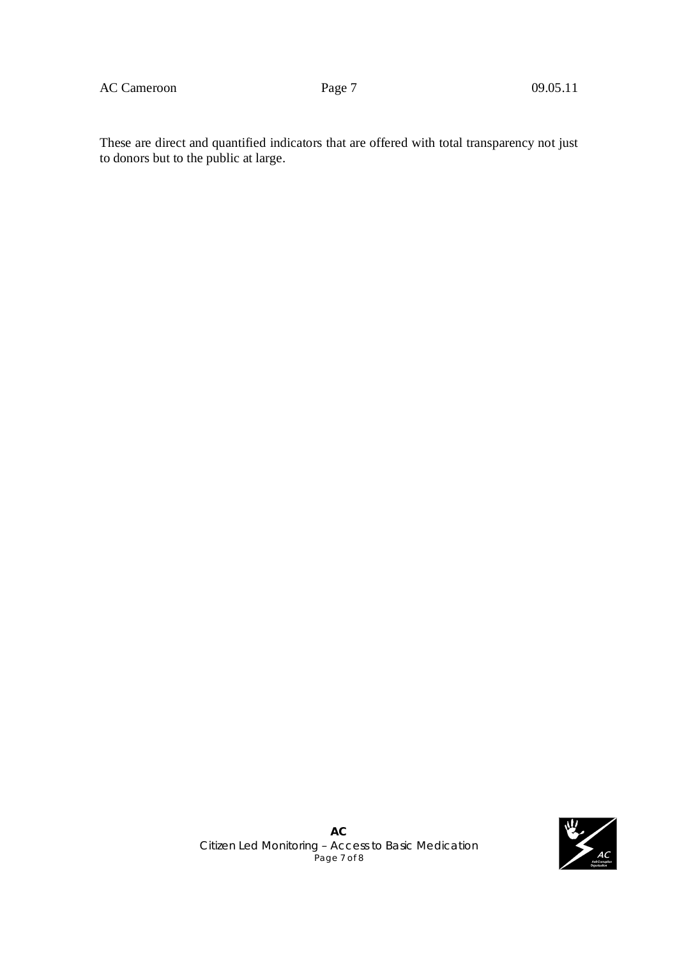AC Cameroon Page 7 09.05.11

These are direct and quantified indicators that are offered with total transparency not just to donors but to the public at large.